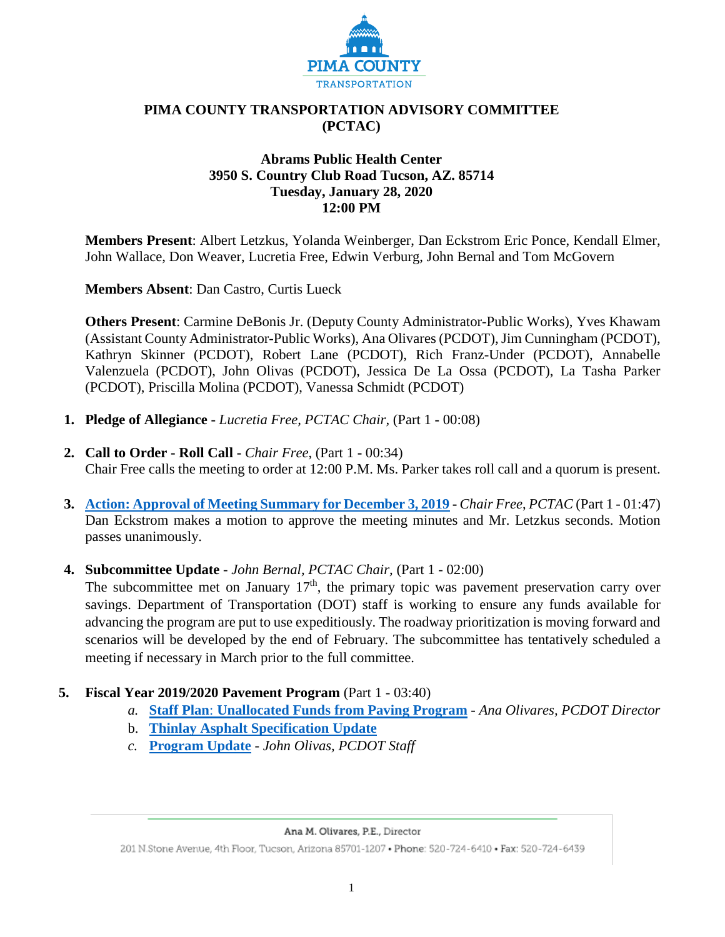

### **PIMA COUNTY TRANSPORTATION ADVISORY COMMITTEE (PCTAC)**

### **Abrams Public Health Center 3950 S. Country Club Road Tucson, AZ. 85714 Tuesday, January 28, 2020 12:00 PM**

**Members Present**: Albert Letzkus, Yolanda Weinberger, Dan Eckstrom Eric Ponce, Kendall Elmer, John Wallace, Don Weaver, Lucretia Free, Edwin Verburg, John Bernal and Tom McGovern

**Members Absent**: Dan Castro, Curtis Lueck

**Others Present**: Carmine DeBonis Jr. (Deputy County Administrator-Public Works), Yves Khawam (Assistant County Administrator-Public Works), Ana Olivares (PCDOT), Jim Cunningham (PCDOT), Kathryn Skinner (PCDOT), Robert Lane (PCDOT), Rich Franz-Under (PCDOT), Annabelle Valenzuela (PCDOT), John Olivas (PCDOT), Jessica De La Ossa (PCDOT), La Tasha Parker (PCDOT), Priscilla Molina (PCDOT), Vanessa Schmidt (PCDOT)

- **1. Pledge of Allegiance -** *Lucretia Free, PCTAC Chair,* (Part 1 **-** 00:08)
- **2. Call to Order - Roll Call -** *Chair Free*, (Part 1 **-** 00:34) Chair Free calls the meeting to order at 12:00 P.M. Ms. Parker takes roll call and a quorum is present.
- **3. [Action: Approval of Meeting Summary for December 3, 2019](https://webcms.pima.gov/UserFiles/Servers/Server_6/File/Government/Transportation/TransportationAdvisoryCommittee/Minutes/2020_PCTAC_MtgSummaryDraft_120319.pdf) -** *Chair Free*, *PCTAC* (Part 1 01:47) Dan Eckstrom makes a motion to approve the meeting minutes and Mr. Letzkus seconds. Motion passes unanimously.
- **4. Subcommittee Update** *John Bernal, PCTAC Chair,* (Part 1 02:00)

The subcommittee met on January  $17<sup>th</sup>$ , the primary topic was pavement preservation carry over savings. Department of Transportation (DOT) staff is working to ensure any funds available for advancing the program are put to use expeditiously. The roadway prioritization is moving forward and scenarios will be developed by the end of February. The subcommittee has tentatively scheduled a meeting if necessary in March prior to the full committee.

- **5. Fiscal Year 2019/2020 Pavement Program** (Part 1 03:40)
	- *a.* **Staff Plan**: **[Unallocated Funds from Paving Program](https://webcms.pima.gov/UserFiles/Servers/Server_6/File/Government/Transportation/TransportationAdvisoryCommittee/DocumentsTab/Jan28.2020/FY_19_20_Unallocated_funds_for_road_repair.pdf)** *Ana Olivares, PCDOT Director*
	- b. **[Thinlay Asphalt Specification Update](https://webcms.pima.gov/UserFiles/Servers/Server_6/File/Government/Transportation/TransportationAdvisoryCommittee/DocumentsTab/Jan28.2020/AC_Thinlay_Staff_Report_012820.pdf)**
	- *c.* **[Program Update](https://webcms.pima.gov/UserFiles/Servers/Server_6/File/Government/Transportation/TransportationAdvisoryCommittee/DocumentsTab/Jan28.2020/PTAC_20200128_PavementProgramUpdate.pdf)** *John Olivas, PCDOT Staff*

#### Ana M. Olivares, P.E., Director

201 N.Stone Avenue, 4th Floor, Tucson, Arizona 85701-1207 . Phone: 520-724-6410 . Fax: 520-724-6439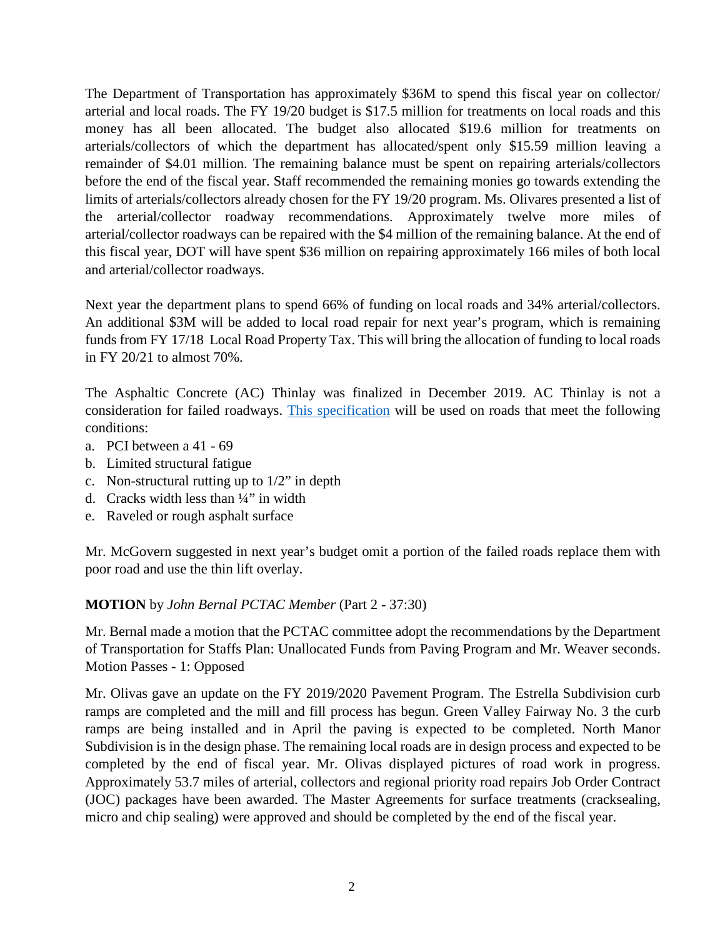The Department of Transportation has approximately \$36M to spend this fiscal year on collector/ arterial and local roads. The FY 19/20 budget is \$17.5 million for treatments on local roads and this money has all been allocated. The budget also allocated \$19.6 million for treatments on arterials/collectors of which the department has allocated/spent only \$15.59 million leaving a remainder of \$4.01 million. The remaining balance must be spent on repairing arterials/collectors before the end of the fiscal year. Staff recommended the remaining monies go towards extending the limits of arterials/collectors already chosen for the FY 19/20 program. Ms. Olivares presented a list of the arterial/collector roadway recommendations. Approximately twelve more miles of arterial/collector roadways can be repaired with the \$4 million of the remaining balance. At the end of this fiscal year, DOT will have spent \$36 million on repairing approximately 166 miles of both local and arterial/collector roadways.

Next year the department plans to spend 66% of funding on local roads and 34% arterial/collectors. An additional \$3M will be added to local road repair for next year's program, which is remaining funds from FY 17/18 Local Road Property Tax. This will bring the allocation of funding to local roads in FY 20/21 to almost 70%.

The Asphaltic Concrete (AC) Thinlay was finalized in December 2019. AC Thinlay is not a consideration for failed roadways. [This specification](https://webcms.pima.gov/UserFiles/Servers/Server_6/File/Government/Transportation/TransportationAdvisoryCommittee/DocumentsTab/Jan28.2020/Final_Thinlay_Specification.pdf) will be used on roads that meet the following conditions:

- a. PCI between a 41 69
- b. Limited structural fatigue
- c. Non-structural rutting up to 1/2" in depth
- d. Cracks width less than  $\frac{1}{4}$ " in width
- e. Raveled or rough asphalt surface

Mr. McGovern suggested in next year's budget omit a portion of the failed roads replace them with poor road and use the thin lift overlay.

### **MOTION** by *John Bernal PCTAC Member* (Part 2 - 37:30)

Mr. Bernal made a motion that the PCTAC committee adopt the recommendations by the Department of Transportation for Staffs Plan: Unallocated Funds from Paving Program and Mr. Weaver seconds. Motion Passes - 1: Opposed

Mr. Olivas gave an update on the FY 2019/2020 Pavement Program. The Estrella Subdivision curb ramps are completed and the mill and fill process has begun. Green Valley Fairway No. 3 the curb ramps are being installed and in April the paving is expected to be completed. North Manor Subdivision is in the design phase. The remaining local roads are in design process and expected to be completed by the end of fiscal year. Mr. Olivas displayed pictures of road work in progress. Approximately 53.7 miles of arterial, collectors and regional priority road repairs Job Order Contract (JOC) packages have been awarded. The Master Agreements for surface treatments (cracksealing, micro and chip sealing) were approved and should be completed by the end of the fiscal year.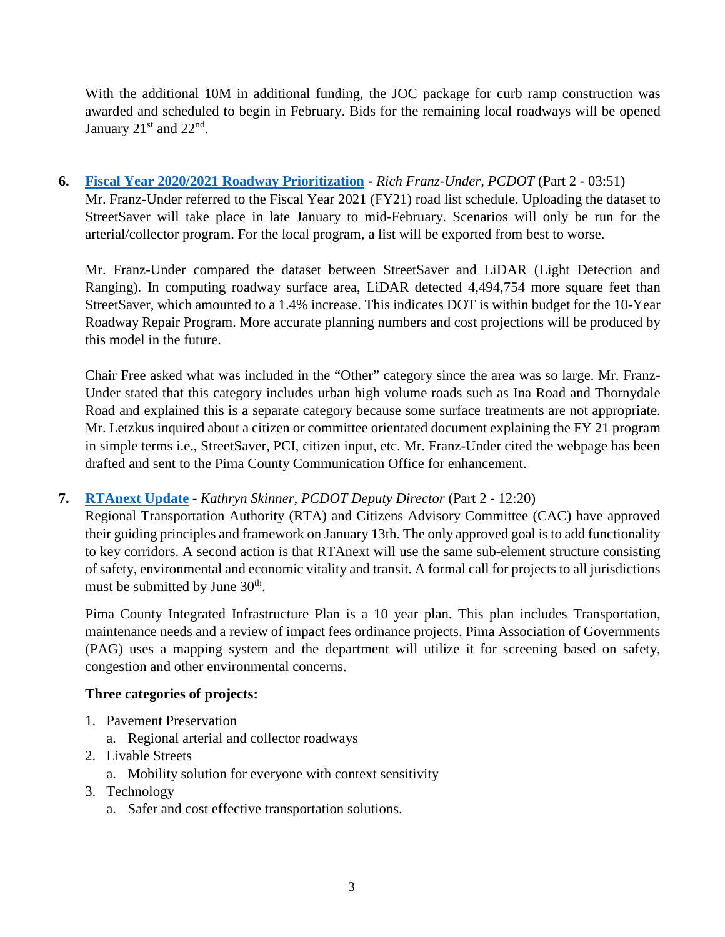With the additional 10M in additional funding, the JOC package for curb ramp construction was awarded and scheduled to begin in February. Bids for the remaining local roadways will be opened January  $21<sup>st</sup>$  and  $22<sup>nd</sup>$ .

### **6. [Fiscal Year 2020/2021 Roadway Prioritization](https://webcms.pima.gov/UserFiles/Servers/Server_6/File/Government/Transportation/TransportationAdvisoryCommittee/DocumentsTab/Jan28.2020/20200114_Committee_update_for_1-28-20_rfu1.pdf) -** *Rich Franz-Under, PCDOT* (Part 2 - 03:51) Mr. Franz-Under referred to the Fiscal Year 2021 (FY21) road list schedule. Uploading the dataset to

StreetSaver will take place in late January to mid-February. Scenarios will only be run for the arterial/collector program. For the local program, a list will be exported from best to worse.

Mr. Franz-Under compared the dataset between StreetSaver and LiDAR (Light Detection and Ranging). In computing roadway surface area, LiDAR detected 4,494,754 more square feet than StreetSaver, which amounted to a 1.4% increase. This indicates DOT is within budget for the 10-Year Roadway Repair Program. More accurate planning numbers and cost projections will be produced by this model in the future.

Chair Free asked what was included in the "Other" category since the area was so large. Mr. Franz-Under stated that this category includes urban high volume roads such as Ina Road and Thornydale Road and explained this is a separate category because some surface treatments are not appropriate. Mr. Letzkus inquired about a citizen or committee orientated document explaining the FY 21 program in simple terms i.e., StreetSaver, PCI, citizen input, etc. Mr. Franz-Under cited the webpage has been drafted and sent to the Pima County Communication Office for enhancement.

# **7. [RTAnext Update](https://webcms.pima.gov/UserFiles/Servers/Server_6/File/Government/Transportation/TransportationAdvisoryCommittee/DocumentsTab/Jan28.2020/012820_PCTAC_RTA_Update_.pdf)** - *Kathryn Skinner, PCDOT Deputy Director* (Part 2 - 12:20)

Regional Transportation Authority (RTA) and Citizens Advisory Committee (CAC) have approved their guiding principles and framework on January 13th. The only approved goal is to add functionality to key corridors. A second action is that RTAnext will use the same sub-element structure consisting of safety, environmental and economic vitality and transit. A formal call for projects to all jurisdictions must be submitted by June 30<sup>th</sup>.

Pima County Integrated Infrastructure Plan is a 10 year plan. This plan includes Transportation, maintenance needs and a review of impact fees ordinance projects. Pima Association of Governments (PAG) uses a mapping system and the department will utilize it for screening based on safety, congestion and other environmental concerns.

# **Three categories of projects:**

- 1. Pavement Preservation
	- a. Regional arterial and collector roadways
- 2. Livable Streets
	- a. Mobility solution for everyone with context sensitivity
- 3. Technology
	- a. Safer and cost effective transportation solutions.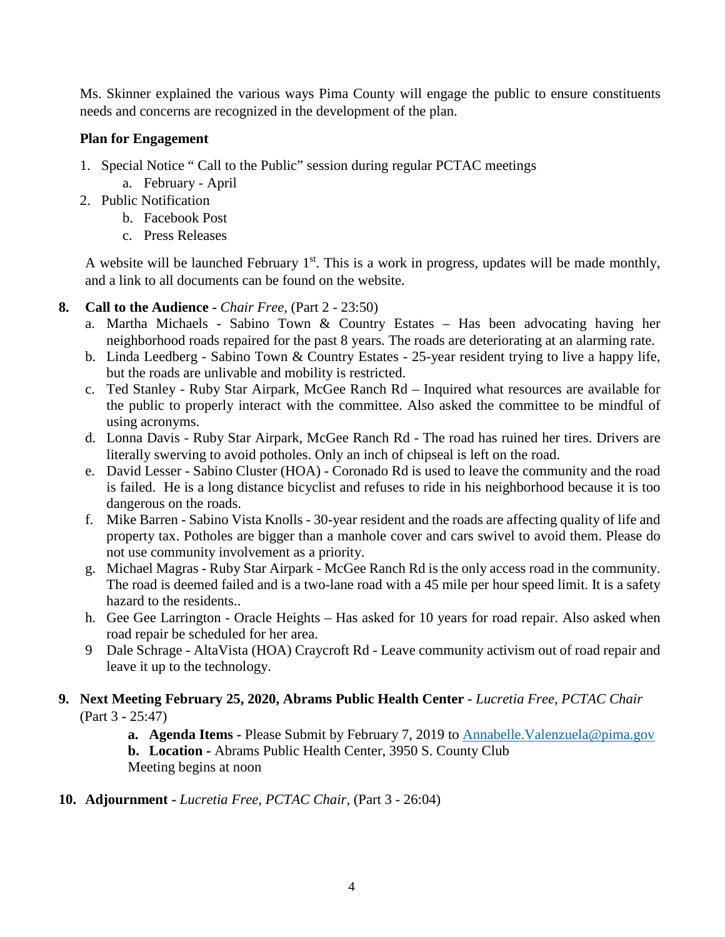Ms. Skinner explained the various ways Pima County will engage the public to ensure constituents needs and concerns are recognized in the development of the plan.

### **Plan for Engagement**

- 1. Special Notice " Call to the Public" session during regular PCTAC meetings
	- a. February April
- 2. Public Notification
	- b. Facebook Post
	- c. Press Releases

A website will be launched February  $1<sup>st</sup>$ . This is a work in progress, updates will be made monthly, and a link to all documents can be found on the website.

### **8. Call to the Audience -** *Chair Free,* (Part 2 - 23:50)

- a. Martha Michaels Sabino Town & Country Estates Has been advocating having her neighborhood roads repaired for the past 8 years. The roads are deteriorating at an alarming rate.
- b. Linda Leedberg Sabino Town & Country Estates 25-year resident trying to live a happy life, but the roads are unlivable and mobility is restricted.
- c. Ted Stanley Ruby Star Airpark, McGee Ranch Rd Inquired what resources are available for the public to properly interact with the committee. Also asked the committee to be mindful of using acronyms.
- d. Lonna Davis Ruby Star Airpark, McGee Ranch Rd The road has ruined her tires. Drivers are literally swerving to avoid potholes. Only an inch of chipseal is left on the road.
- e. David Lesser Sabino Cluster (HOA) Coronado Rd is used to leave the community and the road is failed. He is a long distance bicyclist and refuses to ride in his neighborhood because it is too dangerous on the roads.
- f. Mike Barren Sabino Vista Knolls 30-year resident and the roads are affecting quality of life and property tax. Potholes are bigger than a manhole cover and cars swivel to avoid them. Please do not use community involvement as a priority.
- g. Michael Magras Ruby Star Airpark McGee Ranch Rd is the only access road in the community. The road is deemed failed and is a two-lane road with a 45 mile per hour speed limit. It is a safety hazard to the residents..
- h. Gee Gee Larrington Oracle Heights Has asked for 10 years for road repair. Also asked when road repair be scheduled for her area.
- 9 Dale Schrage AltaVista (HOA) Craycroft Rd Leave community activism out of road repair and leave it up to the technology.

### **9. Next Meeting February 25, 2020, Abrams Public Health Center -** *Lucretia Free, PCTAC Chair* (Part 3 **-** 25:47)

**a. Agenda Items -** Please Submit by February 7, 2019 to **Annabelle.** Valenzuela@pima.gov

**b. Location -** Abrams Public Health Center, 3950 S. County Club Meeting begins at noon

# **10. Adjournment -** *Lucretia Free, PCTAC Chair,* (Part 3 - 26:04)